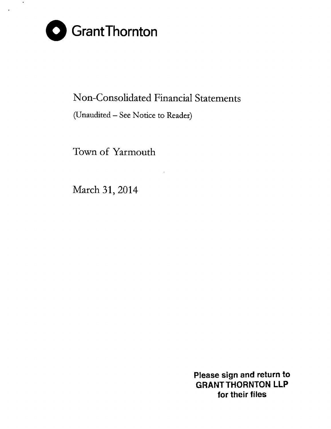

 $\star$ 

# Non-Consolidated Financial Statements

(Unaudited - See Notice to Reader)

Town of Yarmouth

March 31, 2014

**Please sign and return to GRANT THORNTON LLP for their files**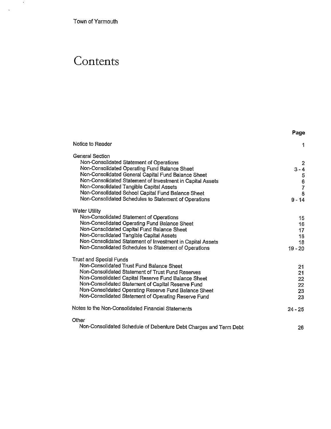Town of Yarmouth

 $\sim 10$ 

 $\sim 10^{-11}$ 

# **Contents**

|                                                                   | Page        |
|-------------------------------------------------------------------|-------------|
| Notice to Reader                                                  | 1           |
| General Section                                                   |             |
| Non-Consolidated Statement of Operations                          | 2           |
| Non-Consolidated Operating Fund Balance Sheet                     | $3 - 4$     |
| Non-Consolidated General Capital Fund Balance Sheet               |             |
| Non-Consolidated Statement of Investment in Capital Assets        | 5<br>6<br>7 |
| Non-Consolidated Tangible Capital Assets                          |             |
| Non-Consolidated School Capital Fund Balance Sheet                | 8           |
| Non-Consolidated Schedules to Statement of Operations             | $9 - 14$    |
| Water Utility                                                     |             |
| Non-Consolidated Statement of Operations                          | 15          |
| Non-Consolidated Operating Fund Balance Sheet                     | 16          |
| Non-Consolidated Capital Fund Balance Sheet                       | 17          |
| Non-Consolidated Tangible Capital Assets                          | 18          |
| Non-Consolidated Statement of Investment in Capital Assets        | 18          |
| Non-Consolidated Schedules to Statement of Operations             | $19 - 20$   |
| Trust and Special Funds                                           |             |
| Non-Consolidated Trust Fund Balance Sheet                         | 21          |
| Non-Consolidated Statement of Trust Fund Reserves                 | 21          |
| Non-Consolidated Capital Reserve Fund Balance Sheet               | 22          |
| Non-Consolidated Statement of Capital Reserve Fund                | 22          |
| Non-Consolidated Operating Reserve Fund Balance Sheet             | 23          |
| Non-Consolidated Statement of Operating Reserve Fund              | 23          |
| Notes to the Non-Consolidated Financial Statements                | $24 - 25$   |
| Other                                                             |             |
| Non-Consolidated Schedule of Debenture Debt Charges and Term Debt | 26          |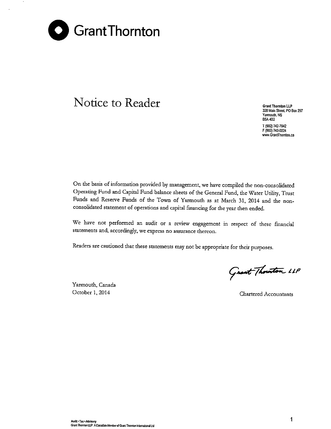

# **Notice to Reader Grant Thornton** LLP

**328 Main Street PO Box 297 Yarmouth, NS BSA4B2** T (902)742-7842 F (902) 742-0224 **www.GrantThomton.ca**

On the basis of information provided by management, we have compiled the non-consolidated Operating Fund and Capital Fund balance sheets of the General Fund, the Water Utility, Trust Funds and Reserve Funds of the Town of Yarmouth as at March 31, 2014 and the nonconsolidated statement of operations and capital financing for the year then ended.

We have not performed an audit or a review engagement in respect of these financial **statements and, accordingly, we express no assurance thereon.**

Readers are cautioned that these statements may not be appropriate for their purposes.

Yarmouth, Canada

Grant Thouton LLP

October 1, 2014 Chartered Accountants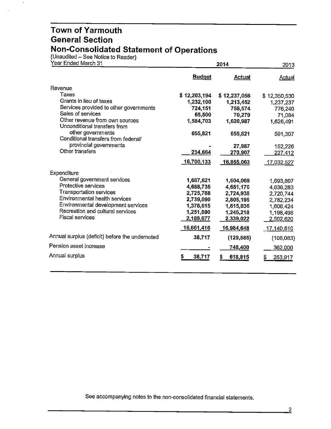(Unaudited – See Notice to Reader)

 $\Box$ 

| Year Ended March 31                                            |               | 2013          |                |
|----------------------------------------------------------------|---------------|---------------|----------------|
|                                                                | <b>Budget</b> | <b>Actual</b> | Actual         |
| Revenue                                                        |               |               |                |
| Taxes                                                          | \$12,203,194  | \$12,237,056  | \$12,350,530   |
| Grants in lieu of taxes                                        | 1,232,100     | 1,213,452     | 1,237,237      |
| Services provided to other governments                         | 724,151       | 758,574       | 776,240        |
| Sales of services                                              | 65,500        | 70,279        | 71,084         |
| Other revenue from own sources<br>Unconditional transfers from | 1,584,703     | 1,620,987     | 1,626,491      |
| other governments<br>Conditional transfers from federal/       | 655,821       | 655,821       | 591,307        |
| provincial governments                                         |               | 27,987        | 152,226        |
| Other transfers                                                | 234,664       | 270,907       | <u>227,412</u> |
|                                                                | 16,700,133    | 16,855,063    | 17,032,527     |
| Expenditure                                                    |               |               |                |
| General government services                                    | 1,687,621     | 1,604,069     | 1,693,807      |
| Protective services                                            | 4,688,735     | 4,651,170     | 4,636,283      |
| <b>Transportation services</b>                                 | 2,725,788     | 2,724,938     | 2,720,744      |
| Environmental health services                                  | 2,739,090     | 2,805,195     | 2,782,234      |
| Environmental development services                             | 1,378,615     | 1,615,036     | 1,606,424      |
| Recreation and cultural services                               | 1,251,890     | 1.245,218     | 1,198,498      |
| <b>Fiscal services</b>                                         | 2,189,677     | 2,339,022     | 2,502,620      |
|                                                                | 16,661,416    | 16,984,648    | 17,140,610     |
| Annual surplus (deficit) before the undernoted                 | 38,717        | (129, 585)    | (108,083)      |
| Pension asset increase                                         |               | 748,400       | 362,000        |
| Annual surplus                                                 | 38,717<br>S   | \$<br>618,815 | 253,917<br>S   |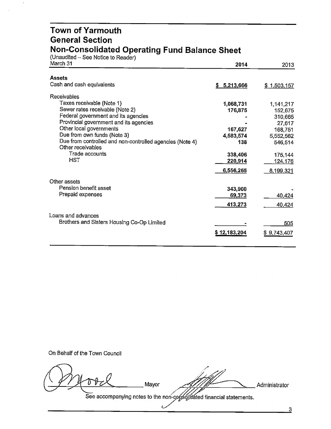#### **Town of Yarmouth General Section Non-Consolidated Operating Fund Balance Sheet**

(Unaudited – See Notice to Reader)

| March 31                                                                      | 2014         | 2013        |
|-------------------------------------------------------------------------------|--------------|-------------|
| Assets                                                                        |              |             |
| Cash and cash equivalents                                                     | \$5,213,666  | \$1,503,157 |
| Receivables                                                                   |              |             |
| Taxes receivable (Note 1)                                                     | 1,068,731    | 1,141,217   |
| Sewer rates receivable (Note 2)                                               | 176,875      | 152,675     |
| Federal government and its agencies                                           |              | 310,665     |
| Provincial government and its agencies                                        |              | 27,617      |
| Other local governments                                                       | 167,627      | 168,751     |
| Due from own funds (Note 3)                                                   | 4,583,574    | 5,552,562   |
| Due from controlled and non-controlled agencies (Note 4)<br>Other receivables | 138          | 546,514     |
| Trade accounts                                                                | 338,406      | 175,144     |
| HST                                                                           | 220,914      | 124,176     |
|                                                                               | 6,556,265    | 8,199,321   |
| Other assets                                                                  |              |             |
| Pension benefit asset                                                         | 343,900      |             |
| Prepaid expenses                                                              | 69,373       | 40,424      |
|                                                                               |              |             |
|                                                                               | 413,273      | 40,424      |
| Loans and advances                                                            |              |             |
| Brothers and Sisters Housing Co-Op Limited                                    |              | 505         |
|                                                                               | \$12,183,204 | \$9,743,407 |
|                                                                               |              |             |
|                                                                               |              |             |

On Behalf of the Town Council

Mayor Administrator

See accompanying notes to the non-consolidated financial statements.

 $\epsilon$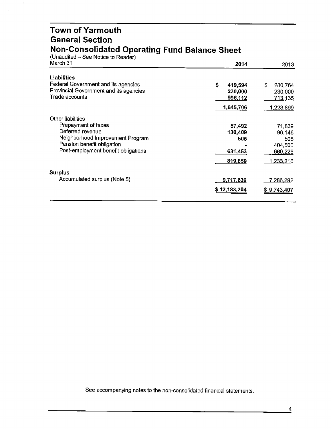#### **Town of Yarmouth General Section Non-Consolidated Operating Fund Balance Sheet**

(Unaudited – See Notice to Reader)

 $\hat{\boldsymbol{\beta}}$ 

 $\ddot{\phantom{a}}$ 

| March 31                                                                                                                                         | 2014                                           | 2013                                                              |
|--------------------------------------------------------------------------------------------------------------------------------------------------|------------------------------------------------|-------------------------------------------------------------------|
| <b>Liabilities</b>                                                                                                                               | \$                                             | S                                                                 |
| Federal Government and its agencies                                                                                                              | 419,594                                        | 280,764                                                           |
| Provincial Government and its agencies                                                                                                           | 230,000                                        | 230,000                                                           |
| Trade accounts                                                                                                                                   | 996,112                                        | <u>713,135</u>                                                    |
| Other liabilities                                                                                                                                | 1,645,706                                      | <u>1,223,899</u>                                                  |
| Prepayment of taxes<br>Deferred revenue<br>Neighborhood Improvement Program<br>Pension benefit obligation<br>Post-employment benefit obligations | 57,492<br>130,409<br>505<br>631,453<br>819,859 | 71,839<br>96,146<br>505<br>404,500<br>660,226<br><u>1,233,216</u> |
| <b>Surplus</b>                                                                                                                                   | 9,717,639                                      | 7,286,292                                                         |
| Accumulated surplus (Note 5)                                                                                                                     | \$12,183,204                                   | \$9,743,407                                                       |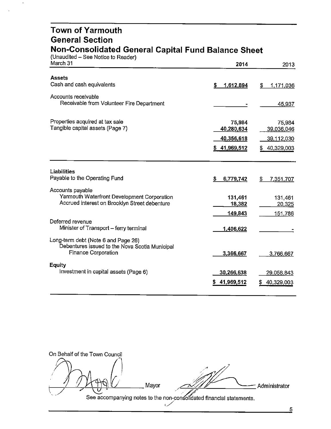#### **Town of Yarmouth General Section Non-Consolidated General Capital Fund Balance Sheet**

| (Unaudited – See Notice to Reader)<br>March 31                                                                      | 2014                               | 2013                               |
|---------------------------------------------------------------------------------------------------------------------|------------------------------------|------------------------------------|
| <b>Assets</b>                                                                                                       |                                    |                                    |
| Cash and cash equivalents                                                                                           | \$<br>1,612,894                    | \$<br>1,171,036                    |
| Accounts receivable<br>Receivable from Volunteer Fire Department                                                    |                                    | 45,937                             |
| Properties acquired at tax sale<br>Tangible capital assets (Page 7)                                                 | 75,984<br>40,280,634<br>40,356,618 | 75,984<br>39,036,046<br>39,112,030 |
|                                                                                                                     | \$41,969,512                       | \$40,329,003                       |
| Liabilities<br>Payable to the Operating Fund                                                                        | 6,779,742<br>S.                    | 7,351,707<br>S                     |
| Accounts payable<br>Yarmouth Waterfront Development Corporation<br>Accrued interest on Brooklyn Street debenture    | 131,461<br>18,382                  | 131,461<br>20,325                  |
| Deferred revenue<br>Minister of Transport - ferry terminal                                                          | 149,843<br>1,406,622               | 151,786                            |
| Long-term debt (Note 6 and Page 26)<br>Debentures issued to the Nova Scotia Municipal<br><b>Finance Corporation</b> | 3,366,667                          | 3,766,667                          |
| <b>Equity</b><br>Investment in capital assets (Page 6)                                                              | 30,266,638<br>41,969,512           | 29,058,843<br>40,329,003<br>S      |

l */A ~,C "'"'* On Behalf of the Town Council Mayor<br>See accompanying notes to the non-consolidated financial statements. - Administrator  $\frac{N}{n}$ 

 $\overline{5}$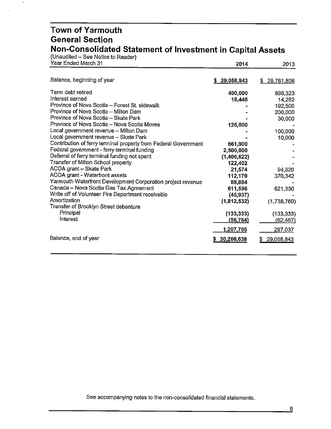#### **Town of Yarmouth General Section Non-Consolidated Statement of Investment in Capital Assets**

(Unaudited - See Notice to Reader)

 $\cdot$ 

| Year Ended March 31                                             | 2014             | 2013             |
|-----------------------------------------------------------------|------------------|------------------|
|                                                                 |                  |                  |
| Balance, beginning of year                                      | \$29,058,843     | 28,761,806<br>\$ |
| Term debt retired                                               | 400,000          | 598,323          |
| Interest earned                                                 | 18,448           | 14,282           |
| Province of Nova Scotia - Forest St. sidewalk                   |                  | 192,500          |
| Province of Nova Scotia - Milton Dam                            |                  | 200,000          |
| Province of Nova Scotia - Skate Park                            |                  | 30,000           |
| Province of Nova Scotia - Nova Scotia Moves                     | 126,000          |                  |
| Local government revenue - Milton Dam                           |                  | 100,000          |
| Local government revenue - Skate Park                           |                  | 10,000           |
| Contribution of ferry terminal property from Federal Government | 661,900          |                  |
| Federal government - ferry terminal funding                     | 2,500,000        |                  |
| Deferral of ferry terminal funding not spent                    | (1,406,622)      |                  |
| Transfer of Milton School property                              | 122,402          |                  |
| ACOA grant - Skate Park                                         | 21,574           | 94,820           |
| ACOA grant - Waterfront assets                                  | 112,179          | 370,342          |
| Yarmouth Waterfront Development Corporation project revenue     | 88,884           |                  |
| Canada - Nova Scotia Gas Tax Agreement                          | 611,596          | 621,330          |
| Write off of Volunteer Fire Department receivable               | (45, 937)        |                  |
| Amortization                                                    | (1,812,532)      | (1,738,760)      |
| Transfer of Brooklyn Street debenture                           |                  |                  |
| Principal                                                       | (133, 333)       | (133, 333)       |
| Interest                                                        | (56,764)         | (62, 467)        |
|                                                                 | <u>1,207,795</u> | 297,037          |
| Balance, end of year                                            | 30,266,638       | 29,058,843<br>S. |
|                                                                 |                  |                  |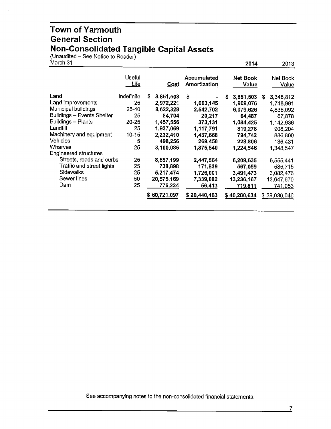#### **Town of Yarmouth General Section Non-Consolidated Tangible Capital Assets**

(Unaudited – See Notice to Reader)

| March 31 |  |
|----------|--|
|          |  |
|          |  |

 $\blacksquare$ 

 $\ddot{\phantom{a}}$ 

| March 31                                                                                                                                                                                                                       |                                                                                  |                                                                                                                                 |                                                                                                                  | 2014                                                                                                                       | 2013                                                                                                                       |
|--------------------------------------------------------------------------------------------------------------------------------------------------------------------------------------------------------------------------------|----------------------------------------------------------------------------------|---------------------------------------------------------------------------------------------------------------------------------|------------------------------------------------------------------------------------------------------------------|----------------------------------------------------------------------------------------------------------------------------|----------------------------------------------------------------------------------------------------------------------------|
|                                                                                                                                                                                                                                | <b>Useful</b><br><u>Life</u>                                                     | <u>Cost</u>                                                                                                                     | <b>Accumulated</b><br>Amortization                                                                               | <b>Net Book</b><br>Value                                                                                                   | Net Book<br>Value                                                                                                          |
| Land<br>Land improvements<br>Municipal buildings<br>Buildings - Events Shelter<br>Buildings - Plants<br>Landfill<br>Machinery and equipment<br><b>Vehicles</b><br>Wharves<br>Engineered structures<br>Streets, roads and curbs | Indefinite<br>25<br>25-40<br>25<br>$20 - 25$<br>25<br>$10 - 15$<br>5<br>25<br>25 | \$<br>3,851,503<br>2,972,221<br>8,622,328<br>84,704<br>1,457,556<br>1,937,069<br>2,232,410<br>498,256<br>3,100,086<br>8,657,199 | \$<br>1,063,145<br>2,542,702<br>20,217<br>373,131<br>1,117,791<br>1,437,668<br>269,450<br>1,875,540<br>2,447,564 | 3,851,503<br>s<br>1,909,076<br>6,079,626<br>64,487<br>1,084,425<br>819,278<br>794,742<br>228,806<br>1,224,546<br>6,209,635 | 3,348,812<br>S<br>1,748,991<br>4,835,092<br>67,878<br>1,142,936<br>908,204<br>886,800<br>136,431<br>1,348,547<br>6,555,441 |
| Traffic and street lights<br>Sidewalks<br>Sewer lines<br>Dam                                                                                                                                                                   | 25<br>25<br>50<br>25                                                             | 738,898<br>5,217,474<br>20,575,169<br>776,224<br>\$60,721.097                                                                   | 171,839<br>1,726,001<br>7,339,002<br>56,413<br>\$20,440,463                                                      | 567,059<br>3,491,473<br>13,236,167<br>719,811<br>\$40,280,634                                                              | 585,715<br>3,082,476<br>13,647,670<br>741,053<br>\$39,036,046                                                              |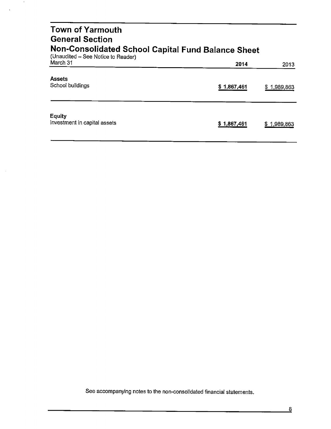| <b>Town of Yarmouth</b><br><b>General Section</b>                                        |             |                |
|------------------------------------------------------------------------------------------|-------------|----------------|
| Non-Consolidated School Capital Fund Balance Sheet<br>(Unaudited - See Notice to Reader) |             |                |
| March 31                                                                                 | 2014        | 2013           |
| <b>Assets</b><br>School buildings                                                        | \$1,867,461 | \$1,989,863    |
| <b>Equity</b><br>Investment in capital assets                                            | \$1,867,461 | 1,989,863<br>S |

 $\bullet$ 

 $\bar{\mathbf{v}}$ 

 $\sim$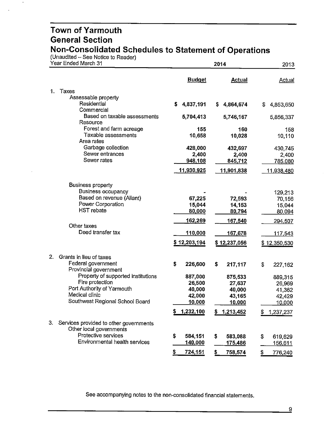(Unaudited – See Notice to Reader)

 $\blacksquare$ 

 $\overline{a}$ 

| Year Ended March 31                                                     |                      | 2014             |                  |  |  |
|-------------------------------------------------------------------------|----------------------|------------------|------------------|--|--|
|                                                                         | <b>Budget</b>        | <b>Actual</b>    | Actual           |  |  |
| Taxes<br>1.                                                             |                      |                  |                  |  |  |
| Assessable property                                                     |                      |                  |                  |  |  |
| Residential                                                             | S.<br>4,837,191      | 4,864,674<br>S.  | S<br>4,853,650   |  |  |
| Commercial<br>Based on taxable assessments<br>Resource                  | 5,704,413            | 5,746,167        | 5,856,337        |  |  |
| Forest and farm acreage                                                 | 155                  | 160              | 158              |  |  |
| Taxable assessments                                                     | 10,658               | 10,028           | 10,110           |  |  |
| Area rates<br>Garbage collection                                        | 428,000              | 432,697          | 430,745          |  |  |
| Sewer entrances                                                         | 2,400                | 2,400            | 2,400            |  |  |
| Sewer rates                                                             | 948,108              | 845,712          | 785,080          |  |  |
|                                                                         | 11,930,925           | 11,901,838       | 11,938,480       |  |  |
|                                                                         |                      |                  |                  |  |  |
| <b>Business property</b>                                                |                      |                  |                  |  |  |
| Business occupancy                                                      |                      |                  | 129,213          |  |  |
| Based on revenue (Aliant)<br>Power Corporation                          | 67,225               | 72,593           | 70,156           |  |  |
| <b>HST</b> rebate                                                       | 15,044<br>80,000     | 14,153<br>80,794 | 15,044<br>80,094 |  |  |
|                                                                         |                      |                  |                  |  |  |
| Other taxes                                                             | <u>162,269</u>       | <u>167,540</u>   | 294,507          |  |  |
| Deed transfer tax                                                       | 110,000              | 167,678          | <u>117,543</u>   |  |  |
|                                                                         | \$12,203,194         | \$12,237,056     | \$12,350,530     |  |  |
| 2.<br>Grants in lieu of taxes                                           |                      |                  |                  |  |  |
| Federal government                                                      | \$<br>226,600        | 217,117<br>\$    | \$<br>227,162    |  |  |
| Provincial government                                                   |                      |                  |                  |  |  |
| Property of supported institutions<br>Fire protection                   | 887,000              | 875,533          | 889,315          |  |  |
| Port Authority of Yarmouth                                              | 26,500<br>40,000     | 27,637<br>40,000 | 26,969           |  |  |
| Medical clinic                                                          | 42,000               | 43,165           | 41,362<br>42,429 |  |  |
| Southwest Regional School Board                                         | 10,000               | 10,000           | 10,000           |  |  |
|                                                                         | \$<br>1,232,100      | \$<br>1,213,452  | \$<br>1,237,237  |  |  |
|                                                                         |                      |                  |                  |  |  |
| 3.<br>Services provided to other governments<br>Other local governments |                      |                  |                  |  |  |
| Protective services                                                     | \$<br>584,151        | \$<br>583,088    | \$<br>619,629    |  |  |
| Environmental health services                                           | 140,000              | 175,486          | 156,611          |  |  |
|                                                                         | \$<br><u>724,151</u> | \$<br>758,574    | \$<br>776,240    |  |  |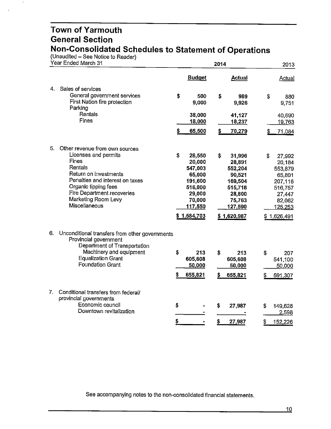(Unaudited – See Notice to Reader)

 $\mathcal{A}$ 

 $\ddot{\phantom{a}}$ 

| Year Ended March 31                                                                                                                                                                                                                        |                                                                                                                 | 2014                                                                                                            | 2013                                                                                                          |
|--------------------------------------------------------------------------------------------------------------------------------------------------------------------------------------------------------------------------------------------|-----------------------------------------------------------------------------------------------------------------|-----------------------------------------------------------------------------------------------------------------|---------------------------------------------------------------------------------------------------------------|
|                                                                                                                                                                                                                                            | <b>Budget</b>                                                                                                   | <b>Actual</b>                                                                                                   | <b>Actual</b>                                                                                                 |
| Sales of services<br>4.<br>General government services<br>First Nation fire protection<br>Parking<br>Rentals<br>Fines                                                                                                                      | \$<br>500<br>9,000<br>38,000<br>18,000<br>65,500                                                                | \$<br>989<br>9,926<br>41,127<br>18,237<br>\$<br>70,279                                                          | \$<br>880<br>9,751<br>40,690<br>19,763<br>71,084                                                              |
| 5.<br>Other revenue from own sources<br>Licenses and permits<br>Fines<br>Rentals<br>Return on investments<br>Penalties and interest on taxes<br>Organic tipping fees<br>Fire Department recoveries<br>Marketing Room Levy<br>Miscellaneous | \$<br>28,550<br>20,000<br>547,003<br>65,000<br>191,600<br>516,000<br>29,000<br>70,000<br>117,550<br>\$1,584,703 | \$<br>31,996<br>28,891<br>552,204<br>90,521<br>169,504<br>515,718<br>28,800<br>75,763<br>127,590<br>\$1,620,987 | \$<br>27,992<br>20,184<br>553,879<br>65,801<br>207,116<br>516,757<br>27,447<br>82,062<br>125,253<br>1,626,491 |
| 6.<br>Unconditional transfers from other governments<br>Provincial government<br>Department of Transportation<br>Machinery and equipment<br><b>Equalization Grant</b><br><b>Foundation Grant</b>                                           | \$<br>213<br>605,608<br>50,000<br>\$<br>655,821                                                                 | \$<br>213<br>605,608<br>50,000<br>655,821                                                                       | S<br>207<br>541,100<br>50,000<br>591,307                                                                      |
| 7.<br>Conditional transfers from federal/<br>provincial governments<br>Economic council<br>Downtown revitalization                                                                                                                         | \$<br>\$                                                                                                        | \$<br>27,987<br>\$<br>27,987                                                                                    | S<br>149,628<br>2,598<br>\$<br>152,226                                                                        |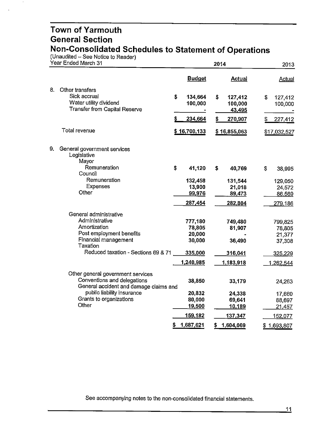(Unaudited – See Notice to Reader)

 $\bullet$ 

 $\ddot{\phantom{a}}$ 

| Year Ended March 31 |                                                                                                            | 2014 |                    |    | 2013                         |    |                     |
|---------------------|------------------------------------------------------------------------------------------------------------|------|--------------------|----|------------------------------|----|---------------------|
|                     |                                                                                                            |      | <b>Budget</b>      |    | <b>Actual</b>                |    | <b>Actual</b>       |
| 8.                  | Other transfers<br>Sick accrual<br>Water utility dividend<br><b>Transfer from Capital Reserve</b>          | \$   | 134,664<br>100,000 | \$ | 127,412<br>100,000<br>43,495 | S  | 127,412<br>100,000  |
|                     |                                                                                                            | \$   | 234,664            | \$ | 270,907                      | \$ | 227,412             |
|                     | Total revenue                                                                                              |      | \$16,700,133       |    | \$16,855,063                 |    | <u>\$17,032,527</u> |
| 9.                  | General government services<br>Legislative<br>Mayor<br>Remuneration                                        | \$   | 41,120             | \$ | 40,769                       | S  | 38,995              |
|                     | Council<br>Remuneration                                                                                    |      | 132,458            |    | 131,544                      |    | 129,050             |
|                     | <b>Expenses</b>                                                                                            |      | 13,900             |    | 21,018                       |    | 24,572              |
|                     | Other                                                                                                      |      | 99,976             |    | 89,473                       |    | 86,569              |
|                     |                                                                                                            |      | 287,454            |    | 282,804                      |    | 279,186             |
|                     | General administrative                                                                                     |      |                    |    |                              |    |                     |
|                     | Administrative                                                                                             |      | 777,180            |    | 749,480                      |    | 799,825             |
|                     | Amortization                                                                                               |      | 78,805             |    | 81,907                       |    | 78,805              |
|                     | Post employment benefits                                                                                   |      | 20,000             |    |                              |    | 21,377              |
|                     | Financial management                                                                                       |      | 30,000             |    | 36,490                       |    | 37,308              |
|                     | Taxation<br>Reduced taxation - Sections 69 & 71                                                            |      | 335,000            |    |                              |    |                     |
|                     |                                                                                                            |      |                    |    | 316,041                      |    | 325,229             |
|                     |                                                                                                            |      | 1,240,985          |    | 1,183,918                    |    | 1,262,544           |
|                     | Other general government services<br>Conventions and delegations<br>General accident and damage claims and |      | 38,850             |    | 33,179                       |    | 24,263              |
|                     | public liability insurance                                                                                 |      | 20,832             |    | 24,338                       |    | 17,660              |
|                     | Grants to organizations                                                                                    |      | 80,000             |    | 69,641                       |    | 88,697              |
|                     | Other                                                                                                      |      | 19,500             |    | 10,189                       |    | 21,457              |
|                     |                                                                                                            |      | 159,182            |    | 137,347                      |    | <u>152,077</u>      |
|                     |                                                                                                            | \$   | 1,687,621          | \$ | 1,604,069                    |    | \$1,693,807         |
|                     |                                                                                                            |      |                    |    |                              |    |                     |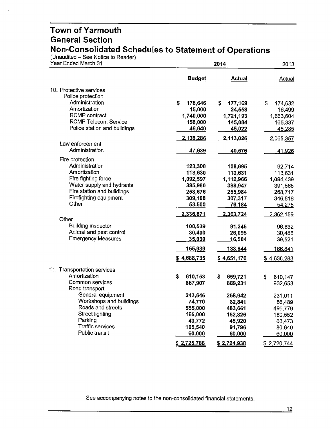(Unaudited – See Notice to Reader)

| Year Ended March 31                |                   | 2014               |               |  |
|------------------------------------|-------------------|--------------------|---------------|--|
|                                    | <b>Budget</b>     | <b>Actual</b>      | Actual        |  |
| 10. Protective services            |                   |                    |               |  |
| Police protection                  |                   |                    |               |  |
| Administration                     | \$<br>178,646     | \$<br>177,169      | \$<br>174,632 |  |
| Amortization                       | 15,000            | 24,558             | 16,499        |  |
| <b>RCMP</b> contract               | 1,740,000         | 1,721,193          | 1,663,604     |  |
| <b>RCMP Telecom Service</b>        | 158,000           | 145,084            | 165,337       |  |
| Police station and buildings       | 46,640            | 45,022             | 45,285        |  |
|                                    | 2,138,286         | 2,113,026          | 2,065,357     |  |
| Law enforcement                    |                   |                    |               |  |
| Administration                     | 47,639            | 40,576             | 41,926        |  |
| Fire protection                    |                   |                    |               |  |
| Administration                     | 123,300           | 108,695            | 92,714        |  |
| Amortization                       | 113,630           | 113,631            | 113,631       |  |
| Fire fighting force                | 1,092,597         | 1,112,966          | 1,094,439     |  |
| Water supply and hydrants          | 385,980           | 388,947            | 391,565       |  |
| Fire station and buildings         | 258,676           | 255,984            | 268,717       |  |
| Firefighting equipment             | 309,188           | 307,317            | 346,818       |  |
| Other                              | 53,500            | 76,184             | 54,275        |  |
|                                    | 2,336,871         | 2,363,724          | 2,362,159     |  |
| Other<br><b>Building inspector</b> |                   |                    |               |  |
| Animal and pest control            | 100,539<br>30,400 | 91,245             | 96,832        |  |
| <b>Emergency Measures</b>          | 35,000            | 26,095<br>16,504   | 30,488        |  |
|                                    |                   |                    | 39,521        |  |
|                                    | 165,939           | 133,844            | 166,841       |  |
|                                    | \$4,688,735       | <u>\$4,651,170</u> | \$4,636,283   |  |
| 11. Transportation services        |                   |                    |               |  |
| Amortization                       | \$<br>610,153     | \$<br>659,721      | \$<br>610,147 |  |
| Common services                    | 867,907           | 889,231            | 932,653       |  |
| Road transport                     |                   |                    |               |  |
| General equipment                  | 243,646           | 258,942            | 231,011       |  |
| Workshops and buildings            | 74,770            | 82,841             | 86,489        |  |
| Roads and streets                  | 555,000           | 483,661            | 495,779       |  |
| <b>Street lighting</b>             | 165,000           | 152,826            | 160,552       |  |
| Parking                            | 43,772            | 45,920             | 63,473        |  |
| <b>Traffic services</b>            | 105,540           | 91,796             | 80,640        |  |
| Public transit                     | 60,000            | 60,000             | 60,000        |  |
|                                    | \$2,725,788       | <u>\$2,724,938</u> | \$2,720,744   |  |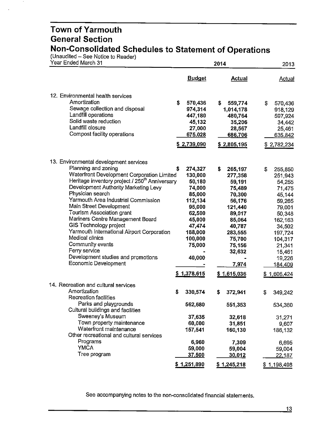(Unaudited – See Notice to Reader)

 $\bar{a}$ 

| Year Ended March 31                                                                                                                                                                                                                                                                                                                                                                                                                                                                                                                                                    |                                                                                                                                                                    | 2014                                                                                                                                                                      | 2013                                                                                                                                                                                    |
|------------------------------------------------------------------------------------------------------------------------------------------------------------------------------------------------------------------------------------------------------------------------------------------------------------------------------------------------------------------------------------------------------------------------------------------------------------------------------------------------------------------------------------------------------------------------|--------------------------------------------------------------------------------------------------------------------------------------------------------------------|---------------------------------------------------------------------------------------------------------------------------------------------------------------------------|-----------------------------------------------------------------------------------------------------------------------------------------------------------------------------------------|
|                                                                                                                                                                                                                                                                                                                                                                                                                                                                                                                                                                        | <b>Budget</b>                                                                                                                                                      | <b>Actual</b>                                                                                                                                                             | <b>Actual</b>                                                                                                                                                                           |
| 12. Environmental health services<br>Amortization<br>Sewage collection and disposal<br>Landfill operations<br>Solid waste reduction<br>Landfill closure<br>Compost facility operations                                                                                                                                                                                                                                                                                                                                                                                 | \$<br>570,436<br>974,314<br>447,180<br>45,132<br>27,000<br>675,028<br>\$2,739,090                                                                                  | S.<br>559,774<br>1,014,178<br>480,764<br>35,206<br>28,567<br>686,706<br>\$2,805,195                                                                                       | \$<br>570,436<br>918,129<br>597,924<br>34,442<br>25,461<br>635,842<br>\$2,782,234                                                                                                       |
| 13. Environmental development services<br>Planning and zoning<br>Waterfront Development Corporation Limited<br>Heritage inventory project / 250 <sup>th</sup> Anniversary<br>Development Authority Marketing Levy<br>Physician search<br>Yarmouth Area Industrial Commission<br>Main Street Development<br>Tourism Association grant<br>Mariners Centre Management Board<br>GIS Technology project<br>Yarmouth International Airport Corporation<br>Medical clinics<br>Community events<br>Ferry service<br>Development studies and promotions<br>Economic Development | \$<br>274,327<br>130,000<br>50,180<br>74,000<br>85,000<br>112,134<br>95,000<br>62,500<br>45,000<br>47,474<br>188,000<br>100,000<br>75,000<br>40,000<br>\$1,378,615 | s<br>265,197<br>277,358<br>59,191<br>75,489<br>70,300<br>56,176<br>121,440<br>89,017<br>85,064<br>40,787<br>283,555<br>75,700<br>75,156<br>32,632<br>7,974<br>\$1,615,036 | \$<br>255,850<br>251,943<br>54,255<br>71,475<br>45,144<br>59,265<br>79,001<br>50,348<br>162,163<br>34,502<br>197,724<br>104,317<br>21,341<br>15,461<br>19,226<br>184,409<br>\$1,606,424 |
| 14. Recreation and cultural services<br>Amortization<br><b>Recreation facilities</b><br>Parks and playgrounds<br>Cultural buildings and facilities<br>Sweeney's Museum<br>Town property maintenance<br>Waterfront maintenance<br>Other recreational and cultural services<br>Programs<br><b>YMCA</b><br>Tree program                                                                                                                                                                                                                                                   | \$<br>330,574<br>562,680<br>37,635<br>60,000<br>157,541<br>6,960<br>59,000<br>37,500<br>\$1,251,890                                                                | \$<br>372,941<br>551,353<br>32,618<br>31,851<br>160,130<br>7,309<br>59,004<br>30,012<br>\$1,245,218                                                                       | \$<br>349,242<br>534,360<br>31,271<br>9,607<br>186,132<br>6,695<br>59,004<br><u>22,187</u><br>\$1,198,498                                                                               |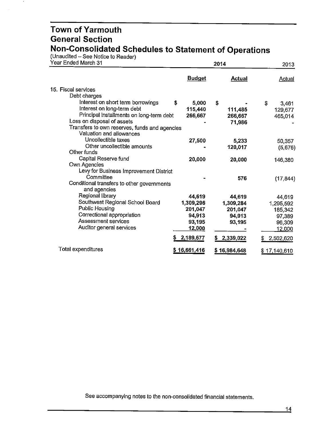(Unaudited – See Notice to Reader)

 $\mathcal{A}$ 

| Year Ended March 31                           |               | 2014          |                      |  |
|-----------------------------------------------|---------------|---------------|----------------------|--|
|                                               | <b>Budget</b> | <b>Actual</b> | <b>Actual</b>        |  |
| 15. Fiscal services                           |               |               |                      |  |
| Debt charges                                  |               |               |                      |  |
| Interest on short term borrowings             | S<br>5,000    | \$            | \$<br>3,461          |  |
| Interest on long-term debt                    | 115,440       | 111,485       | 129,677              |  |
| Principal installments on long-term debt      | 266,667       | 266,667       | 465,014              |  |
| Loss on disposal of assets                    |               | 71,986        |                      |  |
| Transfers to own reserves, funds and agencies |               |               |                      |  |
| Valuation and allowances                      |               |               |                      |  |
| Uncollectible taxes                           | 27,500        | 5,233         | 50,357               |  |
| Other uncollectible amounts                   |               | 120,017       | (5,676)              |  |
| Other funds                                   |               |               |                      |  |
| Capital Reserve fund                          | 20,000        | 20,000        | 146,380              |  |
| Own Agencies                                  |               |               |                      |  |
| Levy for Business Improvement District        |               |               |                      |  |
| Committee                                     |               | 576           | (17, 844)            |  |
| Conditional transfers to other governments    |               |               |                      |  |
| and agencies                                  |               |               |                      |  |
| Regional library                              | 44,619        | 44,619        | 44,619               |  |
| Southwest Regional School Board               | 1,309,296     | 1,309,284     | 1,295,592            |  |
| Public Housing                                | 201,047       | 201,047       | 185,342              |  |
| Correctional appropriation                    | 94,913        | 94,913        | 97,389               |  |
| Assessment services                           | 93,195        | 93,195        | 96,309               |  |
| Auditor general services                      | 12,000        |               | 12,000               |  |
|                                               | 2,189,677     | \$2,339,022   | 2,502,620<br>£       |  |
| Total expenditures                            | \$16,661,416  | \$16,984,648  | <u>\$17,140,</u> 610 |  |
|                                               |               |               |                      |  |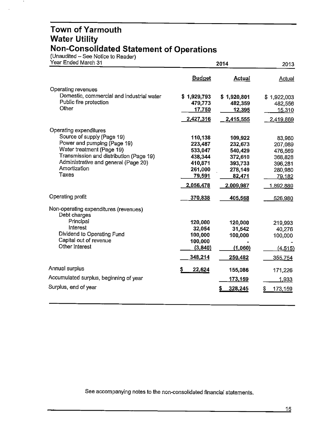#### **Town of Yarmouth Water Utility Non-Consolidated Statement of Operations**

(Unaudited – See Notice to Reader)

 $\bullet$ 

| Year Ended March 31                                   |               | 2014        |              |  |
|-------------------------------------------------------|---------------|-------------|--------------|--|
|                                                       | <b>Budget</b> | Actual      | Actual       |  |
| Operating revenues                                    |               |             |              |  |
| Domestic, commercial and industrial water             | \$1,929,793   | \$1,920,801 | \$1,922,003  |  |
| Public fire protection                                | 479,773       | 482,359     | 482,556      |  |
| Other                                                 | 17,750        | 12,395      | 15,310       |  |
|                                                       | 2,427,316     | 2,415,555   | 2,419,869    |  |
| Operating expenditures                                |               |             |              |  |
| Source of supply (Page 19)                            | 110,138       | 109,922     | 83,960       |  |
| Power and pumping (Page 19)                           | 223,487       | 232,673     | 207,089      |  |
| Water treatment (Page 19)                             | 533,047       | 540,429     | 476,569      |  |
| Transmission and distribution (Page 19)               | 438,344       | 372,610     | 368,828      |  |
| Administrative and general (Page 20)                  | 410,871       | 393,733     | 396,281      |  |
| Amortization                                          | 261,000       | 278,149     | 280,980      |  |
| Taxes                                                 | 79,591        | 82,471      | 79,182       |  |
|                                                       | 2,056,478     | 2,009,987   | 1,892,889    |  |
| Operating profit                                      | 370,838       | 405,568     | 526,980      |  |
| Non-operating expenditures (revenues)<br>Debt charges |               |             |              |  |
| Principal                                             | 120,000       | 120,000     | 219,993      |  |
| Interest                                              | 32,054        | 31,542      | 40,276       |  |
| Dividend to Operating Fund                            | 100,000       | 100,000     | 100,000      |  |
| Capital out of revenue                                | 100,000       |             |              |  |
| Other interest                                        | (3,840)       | (1,060)     | (4, 515)     |  |
|                                                       | 348,214       | 250,482     | 355,754      |  |
| Annual surplus                                        | 22,624        | 155,086     | 171,226      |  |
| Accumulated surplus, beginning of year                |               | 173,159     | 1,933        |  |
| Surplus, end of year                                  |               | 328,245     | 173,159<br>S |  |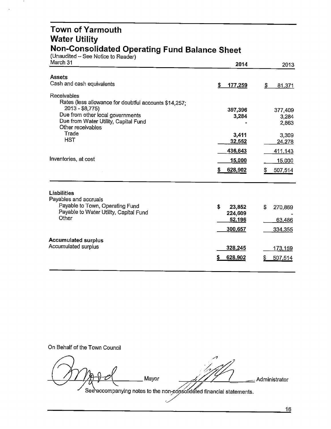#### **Town of Yarmouth Water Utility Non-Consolidated Operating Fund Balance Sheet**

(Unaudited – See Notice to Reader)

 $\ddot{\phantom{1}}$ 

| March 31                                                                                                                                                                                 | 2014                                         | 2013                              |
|------------------------------------------------------------------------------------------------------------------------------------------------------------------------------------------|----------------------------------------------|-----------------------------------|
| <b>Assets</b>                                                                                                                                                                            |                                              |                                   |
| Cash and cash equivalents                                                                                                                                                                | \$<br>177,259                                | \$<br>81,371                      |
| Receivables<br>Rates (less allowance for doubtful accounts \$14,257;<br>2013 - \$8,775)<br>Due from other local governments<br>Due from Water Utility, Capital Fund<br>Other receivables | 397,396<br>3,284                             | 377,409<br>3,284<br>2,863         |
| Trade<br><b>HST</b>                                                                                                                                                                      | 3,411<br>32,552<br>436,643                   | 3,309<br>24,278<br>411,143        |
| Inventories, at cost                                                                                                                                                                     | 15,000<br>628,902<br>\$                      | 15,000<br>507,514<br>S.           |
| <b>Liabilities</b><br>Payables and accruals<br>Payable to Town, Operating Fund<br>Payable to Water Utility, Capital Fund<br>Other                                                        | \$<br>23,852<br>224,609<br>52,196<br>300,657 | S<br>270,869<br>63,486<br>334,355 |
| <b>Accumulated surplus</b><br>Accumulated surplus                                                                                                                                        | 328,245<br>628,902                           | 173,159<br>507,514                |

On Behalf of the Town Council

 $\overline{\phantom{a}}$ *~A* **1/1/200 Mayor** *-4/1/1* - Administrator C7 4 C7 - The mayor<br>See accompanying notes to the non-consolidated financial statements.

 $\overline{c}$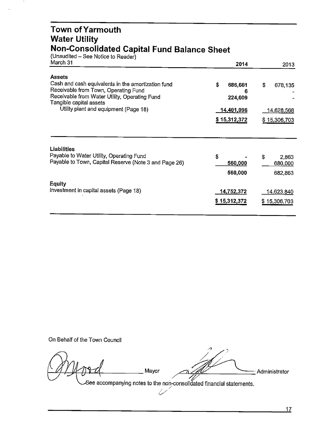#### **Town ofYarmouth Water Utility Non-Consolidated Capital Fund Balance Sheet**

(Unaudited - See Notice to Reader)

 $\cdot$ 

| March 31                                                                                                                                                                                | 2014                          | 2013                  |  |
|-----------------------------------------------------------------------------------------------------------------------------------------------------------------------------------------|-------------------------------|-----------------------|--|
| <b>Assets</b><br>Cash and cash equivalents in the amortization fund<br>Receivable from Town, Operating Fund<br>Receivable from Water Utility, Operating Fund<br>Tangible capital assets | \$<br>686,661<br>6<br>224,609 | \$<br>678.135         |  |
| Utility plant and equipment (Page 18)                                                                                                                                                   | <u>14,401,</u> 096            | <u>14,628,568</u>     |  |
|                                                                                                                                                                                         | \$15,312,372                  | \$15,306,703          |  |
| Liabilities<br>Payable to Water Utility, Operating Fund<br>Payable to Town, Capital Reserve (Note 3 and Page 26)                                                                        | \$<br>560,000                 | S<br>2,863<br>680,000 |  |
|                                                                                                                                                                                         | 560,000                       | 682,863               |  |
| <b>Equity</b>                                                                                                                                                                           |                               |                       |  |
| Investment in capital assets (Page 18)                                                                                                                                                  | <u>14,752,</u> 372            | <u>14,623,840</u>     |  |
|                                                                                                                                                                                         | \$15,312,372                  | \$15,306,703          |  |
|                                                                                                                                                                                         |                               |                       |  |

On Behalf of the Town Council

*{}YJ .: /'.*

 $\sqrt{10^2d}$  . Mayor  $\sqrt{10^2}$  . Administrator . Administrator . Administrator . Administrator . Administrator . Administrator . Administrator . Administrator . Administrator . Administrator . Administrator . Administrato

 $\mathcal{L}$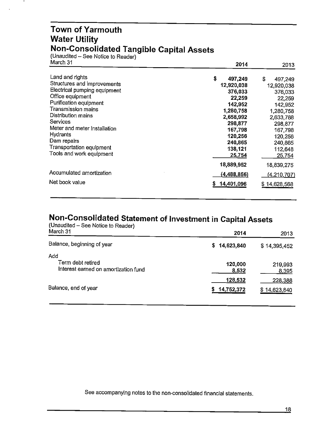#### **Town of Yarmouth Water Utility Non-Consolidated Tangible Capital Assets**

(Unaudited – See Notice to Reader)

 $\bullet$ 

| March 31                     | 2014          | 2013         |  |
|------------------------------|---------------|--------------|--|
| Land and rights              | \$<br>497,249 | S<br>497,249 |  |
| Structures and improvements  | 12,920,038    | 12,920,038   |  |
| Electrical pumping equipment | 376,033       | 376,033      |  |
| Office equipment             | 22,259        | 22,259       |  |
| Purification equipment       | 142,952       | 142,952      |  |
| Transmission mains           | 1,280,758     | 1,280,758    |  |
| Distribution mains           | 2,658,992     | 2,633,788    |  |
| <b>Services</b>              | 298,877       | 298,877      |  |
| Meter and meter installation | 167,798       | 167,798      |  |
| <b>Hydrants</b>              | 120,256       | 120,256      |  |
| Dam repairs                  | 240,865       | 240,865      |  |
| Transportation equipment     | 138,121       | 112,648      |  |
| Tools and work equipment     | 25,754        | 25,754       |  |
|                              | 18,889,952    | 18,839,275   |  |
| Accumulated amortization     | (4,488,856)   | (4,210,707)  |  |
| Net book value               | 14,401,096    | \$14,628,568 |  |

## **Non-Consolidated Statement of Investment in Capital Assets**

| (Unaudited – See Notice to Reader)<br>March 31                   | 2014                  | 2013                    |
|------------------------------------------------------------------|-----------------------|-------------------------|
| Balance, beginning of year                                       | 14,623,840<br>S.      | \$14,395,452            |
| Add<br>Term debt retired<br>Interest earned on amortization fund | 120,000<br>8,532      | 219,993<br>8,395        |
| Balance, end of year                                             | 128,532<br>14,752,372 | 228,388<br>\$14,623,840 |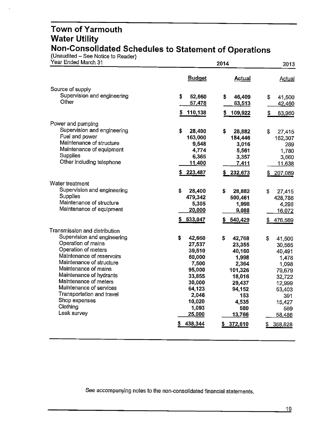#### **Town of Yarmouth Water Utility Non-Consolidated Schedules to Statement of Operations**

(Unaudited - See Notice to Reader)

| Year Ended March 31                              |                 | 2014          |               |  |
|--------------------------------------------------|-----------------|---------------|---------------|--|
|                                                  | <b>Budget</b>   | <b>Actual</b> | <b>Actual</b> |  |
| Source of supply                                 |                 |               |               |  |
| Supervision and engineering                      | S<br>52,660     | 46,409<br>\$  | 41,500<br>\$  |  |
| Other                                            | 57,478          | 63,513        | 42,460        |  |
|                                                  | 110,138<br>S    | \$<br>109,922 | \$<br>83,960  |  |
| Power and pumping                                |                 |               |               |  |
| Supervision and engineering                      | \$<br>28,400    | \$<br>28,882  | \$<br>27,415  |  |
| Fuel and power                                   | 163,000         | 184,446       | 162,307       |  |
| Maintenance of structure                         | 9,548           | 3,016         | 289           |  |
| Maintenance of equipment                         | 4,774           | 5,561         | 1,780         |  |
| Supplies<br>Other including telephone            | 6,365           | 3,357         | 3,660         |  |
|                                                  | 11,400          | 7,411         | 11,638        |  |
|                                                  | 223,487         | 232,673       | \$<br>207,089 |  |
| Water treatment                                  |                 |               |               |  |
| Supervision and engineering                      | \$<br>28,400    | \$<br>28,882  | \$<br>27,415  |  |
| <b>Supplies</b>                                  | 479,342         | 500,461       | 428,786       |  |
| Maintenance of structure                         | 5,305           | 1,998         | 4,296         |  |
| Maintenance of equipment                         | 20,000          | 9,088         | 16,072        |  |
|                                                  | 533,047         | 540,429       | 476,569<br>\$ |  |
| Transmission and distribution                    |                 |               |               |  |
| Supervision and engineering                      | \$<br>42,660    | \$<br>42,768  | \$<br>41,500  |  |
| Operation of mains                               | 27,537          | 23,355        | 30,565        |  |
| Operation of meters                              | 39,510          | 40,160        | 40,491        |  |
| Maintenance of reservoirs                        | 60,000          | 1,998         | 1,478         |  |
| Maintenance of structure                         | 7,500           | 2,364         | 1,098         |  |
| Maintenance of mains                             | 95,000          | 101,326       | 79,679        |  |
| Maintenance of hydrants<br>Maintenance of meters | 33,855          | 18,016        | 32,722        |  |
| Maintenance of services                          | 30,000          | 29,437        | 12,999        |  |
| Transportation and travel                        | 64,123<br>2,046 | 94,152<br>153 | 53,403        |  |
| Shop expenses                                    | 10,020          | 4,535         | 391<br>15,427 |  |
| Clothing                                         | 1,093           | 580           | 589           |  |
| Leak survey                                      | 25,000          | 13,766        | 58,486        |  |
|                                                  | 438,344         | 372,610       | 368,828       |  |
|                                                  |                 |               |               |  |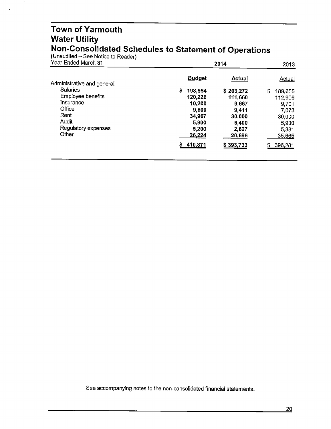#### **Town of Yarmouth Water Utility Non-Consolidated Schedules to Statement of Operations**

(Unaudited – See Notice to Reader)

 $\bullet$ 

| Year Ended March 31        |               | 2014          |               |  |
|----------------------------|---------------|---------------|---------------|--|
| Administrative and general | <b>Budget</b> | <b>Actual</b> | <b>Actual</b> |  |
| <b>Salaries</b>            | S.<br>198,554 | \$203,272     | \$<br>189,655 |  |
| Employee benefits          | 120,226       | 111,660       | 112,906       |  |
| Insurance                  | 10,200        | 9,667         | 9,701         |  |
| Office                     | 9,600         | 9,411         | 7,073         |  |
| Rent                       | 34,967        | 30,000        | 30,000        |  |
| Audit                      | 5,900         | 6,400         | 5.900         |  |
| Regulatory expenses        | 5,200         | 2,627         | 5.381         |  |
| Other                      | 26,224        | 20,696        | 35,665        |  |
|                            | \$410,871     | \$393,733     | 396,281<br>\$ |  |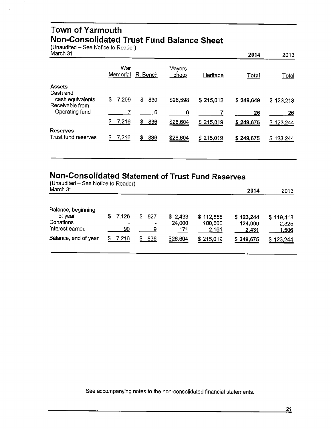#### **Town of Yarmouth Non-Consolidated Trust Fund Balance Sheet**

(Unaudited - See Notice to Reader)

| March 31 |  |
|----------|--|
|----------|--|

| March 31                                      |                 |            |                 |           | 2014      | 2013         |
|-----------------------------------------------|-----------------|------------|-----------------|-----------|-----------|--------------|
|                                               | War<br>Memorial | R. Bench   | Mayors<br>photo | Heritage  | Total     | <u>Total</u> |
| <b>Assets</b><br>Cash and<br>cash equivalents | \$<br>7,209     | \$<br>830  | \$26,598        | \$215,012 | \$249,649 | \$123,218    |
| Receivable from<br>Operating fund             |                 | 6          | 6               |           | 26        | 26           |
|                                               | \$<br>7,216     | \$ 836     | \$26,604        | \$215,019 | \$249,675 | \$123,244    |
| <b>Reserves</b><br>Trust fund reserves        | 7,216<br>\$     | 836<br>\$. | \$26,604        | \$215,019 | \$249,675 | \$123,244    |

#### **Non-Consolidated Statement of Trust Fund Reserves**

| (Unaudited – See Notice to Reader)<br>March 31                |    |                          |   |               |                          |                                      | 2014                          | 2013                        |
|---------------------------------------------------------------|----|--------------------------|---|---------------|--------------------------|--------------------------------------|-------------------------------|-----------------------------|
| Balance, beginning<br>of year<br>Donations<br>Interest earned | S. | 7,126<br>$\bullet$<br>90 | S | 827<br>٠<br>9 | \$2,433<br>24,000<br>171 | \$112,858<br>100,000<br><u>2,161</u> | \$123,244<br>124,000<br>2,431 | \$119,413<br>2,325<br>1,506 |
| Balance, end of year                                          |    | 7,216                    | S | 836           | \$26,604                 | \$215,019                            | \$249,675                     | 123,244<br>S.               |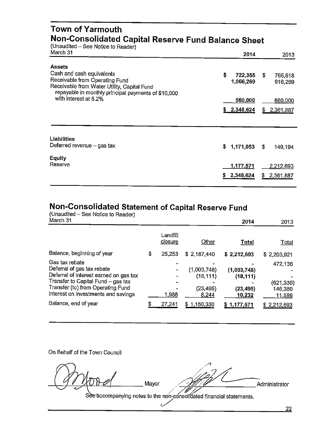#### **Town of Yarmouth Non-Consolidated Capital Reserve Fund Balance Sheet**

(Unaudited – See Notice to Reader)

| March 31                                                                      | 2014          |    | 2013      |
|-------------------------------------------------------------------------------|---------------|----|-----------|
| <b>Assets</b>                                                                 |               |    |           |
| Cash and cash equivalents                                                     | \$<br>722,355 | S. | 765,618   |
| Receivable from Operating Fund<br>Receivable from Water Utility, Capital Fund | 1,066,269     |    | 916,269   |
| repayable in monthly principal payments of \$10,000                           |               |    |           |
| with interest at 5.2%                                                         | 560,000       |    | 680,000   |
|                                                                               | \$2,348,624   | S. | 2,361,887 |
|                                                                               |               |    |           |
| Liabilities                                                                   |               |    |           |
| Deferred revenue $-$ gas tax                                                  | \$1,171,053   | S. | 149,194   |
| <b>Equity</b>                                                                 |               |    |           |
| Reserve                                                                       | 1,177,571     |    | 2,212,693 |
|                                                                               | 2,348,624     | S  | 2,361,887 |
|                                                                               |               |    |           |

#### **Non-Consolidated Statement of Capital Reserve Fund**

(Unaudited - See Notice to Reader)<br>March 31

| March 31                                                                                                                                                                                                 |                     |                                                | 2014                                            | 2013                                       |
|----------------------------------------------------------------------------------------------------------------------------------------------------------------------------------------------------------|---------------------|------------------------------------------------|-------------------------------------------------|--------------------------------------------|
|                                                                                                                                                                                                          | Landfill<br>closure | Other                                          | Total                                           | <u>Total</u>                               |
| Balance, beginning of year                                                                                                                                                                               | \$<br>25,253        | \$2,187,440                                    | \$2,212,693                                     | \$2,203,921                                |
| Gas tax rebate<br>Deferral of gas tax rebate<br>Deferral of interest earned on gas tax<br>Transfer to Capital Fund - gas tax<br>Transfer (to) from Operating Fund<br>Interest on investments and savings | 1,988               | (1,003,748)<br>(18, 111)<br>(23, 495)<br>8,244 | (1,003,748)<br>(18, 111)<br>(23, 495)<br>10,232 | 472,136<br>(621, 330)<br>146,380<br>11,586 |
| Balance, end of year                                                                                                                                                                                     | 27,241              | \$1,150,330                                    | \$1,177,571                                     | \$2,212,693                                |

On Behalf of the Town Council

*//}*  $\sqrt{911000}$  Mayor  $\sqrt{3970}$ <sup>c</sup> <sup>7</sup> ,\_... ' */"/#'~* Administrator See accompanying notes to the non-consolidated financial statements.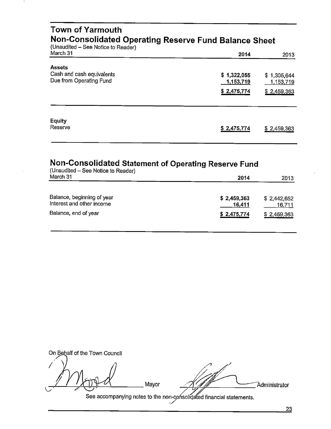| Town of Yarmouth<br>Non-Consolidated Operating Reserve Fund Balance Sheet<br>(Unaudited – See Notice to Reader) |                                         |                                         |
|-----------------------------------------------------------------------------------------------------------------|-----------------------------------------|-----------------------------------------|
| March 31                                                                                                        | 2014                                    | 2013                                    |
| <b>Assets</b><br>Cash and cash equivalents<br>Due from Operating Fund                                           | \$1,322,055<br>1,153,719<br>\$2,475,774 | \$1,305,644<br>1,153,719<br>\$2,459,363 |
| <b>Equity</b><br>Reserve                                                                                        | \$2,475,774                             | \$2,459,363                             |

### **Non-Consolidated Statement of Operating Reserve Fund**

| (Unaudited - See Notice to Reader)<br>March 31          | 2014                  | 2013                  |
|---------------------------------------------------------|-----------------------|-----------------------|
| Balance, beginning of year<br>Interest and other income | \$2,459,363<br>16,411 | \$2,442,652<br>16,711 |
| Balance, end of year                                    | \$2,475,774           | \$2,459,363           |

On Behalf of the Town Council Administrator Mayor See accompanying notes to the non-consolidated financial statements.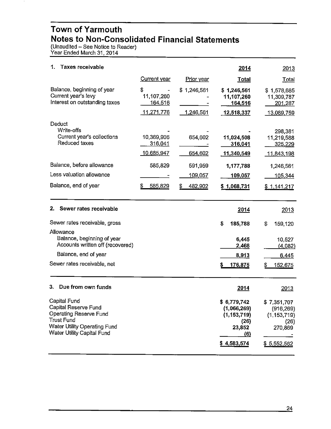#### **Town of Yarmouth Notes to Non-Consolidated Financial Statements**

(Unaudited – See Notice to Reader) Year Ended March 31, 2014

| 1.<br>Taxes receivable                                                                                                                                                 |                                           |                          | 2014                                                                                | 2013                                                                         |
|------------------------------------------------------------------------------------------------------------------------------------------------------------------------|-------------------------------------------|--------------------------|-------------------------------------------------------------------------------------|------------------------------------------------------------------------------|
|                                                                                                                                                                        | Current year                              | Prior year               | <b>Total</b>                                                                        | Total                                                                        |
| Balance, beginning of year<br>Current year's levy<br>Interest on outstanding taxes                                                                                     | \$<br>11,107,260<br>164,516<br>11,271,776 | \$1,246,561<br>1,246,561 | \$1,246,561<br>11,107,260<br>164,516<br>12,518,337                                  | \$1,578,685<br>11,309,787<br>201,287<br>13,089,759                           |
| Deduct<br>Write-offs<br>Current year's collections<br>Reduced taxes                                                                                                    | 10,369,906<br>316,041<br>10,685,947       | 654,602<br>654,602       | 11,024,508<br>316,041<br>11,340,549                                                 | 298,381<br>11,219,588<br>325,229<br><u>11,843,198</u>                        |
| Balance, before allowance                                                                                                                                              | 585,829                                   | 591,959                  | 1,177,788                                                                           | 1,246,561                                                                    |
| Less valuation allowance                                                                                                                                               |                                           | 109,057                  | 109,057                                                                             | 105,344                                                                      |
| Balance, end of year                                                                                                                                                   | S<br>585,829                              | 482,902                  | \$1,068,731                                                                         | \$1,141,217                                                                  |
| Sewer rates receivable<br>2.                                                                                                                                           |                                           |                          | 2014                                                                                | 2013                                                                         |
| Sewer rates receivable, gross                                                                                                                                          |                                           |                          | \$<br>185,788                                                                       | \$<br>159,120                                                                |
| Allowance<br>Balance, beginning of year<br>Accounts written off (recovered)                                                                                            |                                           |                          | 6,445<br>2,468                                                                      | 10,527<br>(4,082)                                                            |
| Balance, end of year                                                                                                                                                   |                                           |                          | 8,913                                                                               | 6,445                                                                        |
| Sewer rates receivable, net                                                                                                                                            |                                           |                          | 176,875<br>\$                                                                       | 152,675<br>S                                                                 |
| 3.<br>Due from own funds                                                                                                                                               |                                           |                          | 2014                                                                                | 2013                                                                         |
| Capital Fund<br><b>Capital Reserve Fund</b><br>Operating Reserve Fund<br><b>Trust Fund</b><br><b>Water Utility Operating Fund</b><br><b>Water Utility Capital Fund</b> |                                           |                          | \$6,779,742<br>(1,066,269)<br>(1, 153, 719)<br>(26)<br>23,852<br>(6)<br>\$4,583,574 | \$7,351,707<br>(916, 269)<br>(1, 153, 719)<br>(26)<br>270,869<br>\$5,552,562 |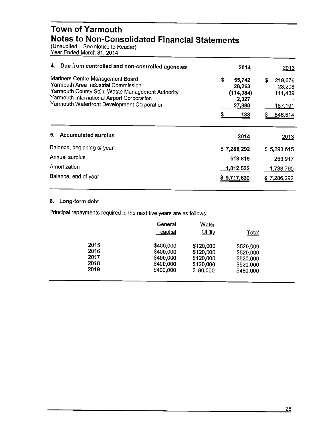#### **Town of Yarmouth Notes to Non-Consolidated Financial Statements**

(Unaudited – See Notice to Reader) Year Ended March31, 2014

| 4. Due from controlled and non-controlled agencies                                                                                                                                                                       | 2014                                                                | 2013                                                     |
|--------------------------------------------------------------------------------------------------------------------------------------------------------------------------------------------------------------------------|---------------------------------------------------------------------|----------------------------------------------------------|
| Mariners Centre Management Board<br>Yarmouth Area Industrial Commission<br>Yarmouth County Solid Waste Management Authority<br>Yarmouth International Airport Corporation<br>Yarmouth Waterfront Development Corporation | \$<br>55,742<br>28,263<br>(114, 084)<br>2,327<br>27,890<br>5<br>138 | \$<br>219,676<br>28,208<br>111,439<br>187,191<br>546,514 |
| 5. Accumulated surplus                                                                                                                                                                                                   | 2014                                                                | 2013                                                     |
| Balance, beginning of year                                                                                                                                                                                               | \$7,286,292                                                         | \$5,293,615                                              |
| Annual surplus                                                                                                                                                                                                           | 618,815                                                             | 253,917                                                  |
| Amortization                                                                                                                                                                                                             | 1,812,532                                                           | 1,738,760                                                |
| Balance, end of year                                                                                                                                                                                                     | \$9,717,639                                                         | \$7,286,292                                              |

#### **6. Long-term debt**

Principal repayments required in the next five years are as follows:

|      | General<br>capital | Water<br><b>Utility</b> | Total     |  |
|------|--------------------|-------------------------|-----------|--|
| 2015 | \$400,000          | \$120,000               | \$520,000 |  |
| 2016 | \$400,000          | \$120,000               | \$520,000 |  |
| 2017 | \$400,000          | \$120,000               | \$520,000 |  |
| 2018 | \$400,000          | \$120,000               | \$520,000 |  |
| 2019 | \$400,000          | \$80,000                | \$480,000 |  |